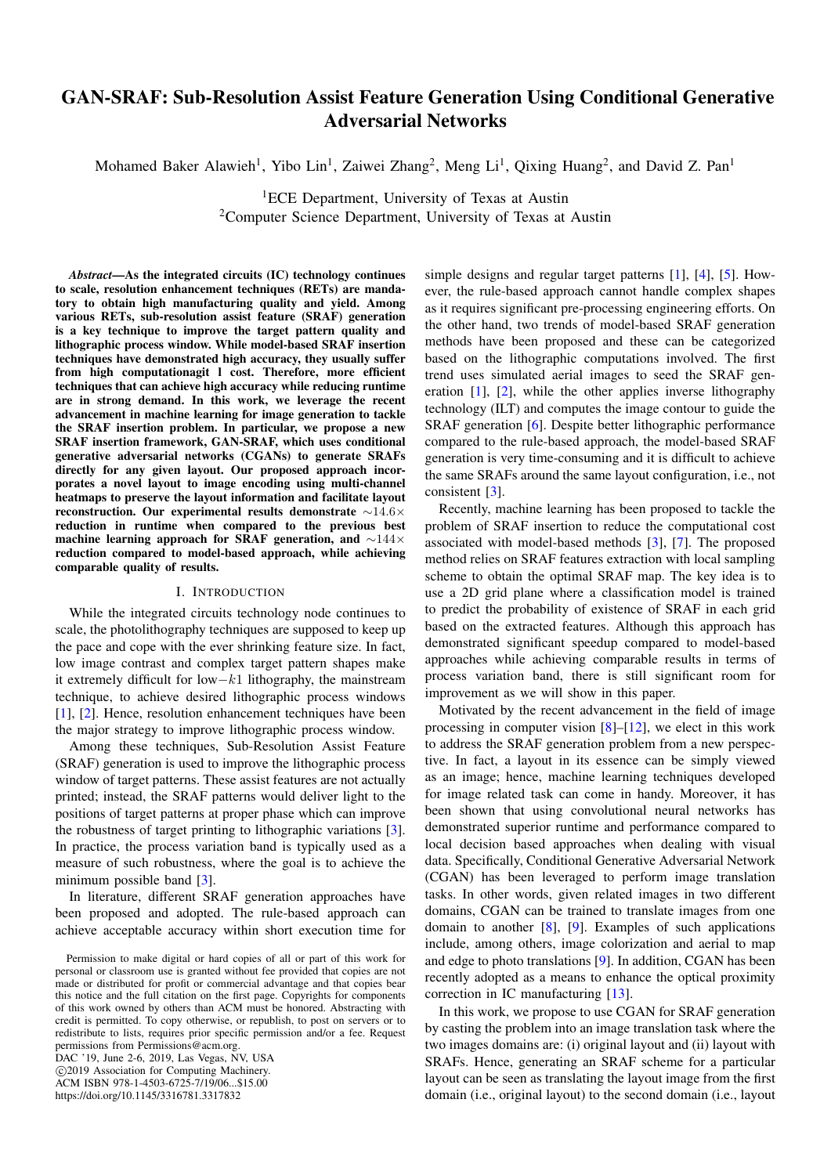# GAN-SRAF: Sub-Resolution Assist Feature Generation Using Conditional Generative Adversarial Networks

Mohamed Baker Alawieh<sup>1</sup>, Yibo Lin<sup>1</sup>, Zaiwei Zhang<sup>2</sup>, Meng Li<sup>1</sup>, Qixing Huang<sup>2</sup>, and David Z. Pan<sup>1</sup>

<sup>1</sup>ECE Department, University of Texas at Austin <sup>2</sup>Computer Science Department, University of Texas at Austin

*Abstract*—As the integrated circuits (IC) technology continues to scale, resolution enhancement techniques (RETs) are mandatory to obtain high manufacturing quality and yield. Among various RETs, sub-resolution assist feature (SRAF) generation is a key technique to improve the target pattern quality and lithographic process window. While model-based SRAF insertion techniques have demonstrated high accuracy, they usually suffer from high computationagit l cost. Therefore, more efficient techniques that can achieve high accuracy while reducing runtime are in strong demand. In this work, we leverage the recent advancement in machine learning for image generation to tackle the SRAF insertion problem. In particular, we propose a new SRAF insertion framework, GAN-SRAF, which uses conditional generative adversarial networks (CGANs) to generate SRAFs directly for any given layout. Our proposed approach incorporates a novel layout to image encoding using multi-channel heatmaps to preserve the layout information and facilitate layout reconstruction. Our experimental results demonstrate ∼14.6× reduction in runtime when compared to the previous best machine learning approach for SRAF generation, and ∼144× reduction compared to model-based approach, while achieving comparable quality of results.

# I. INTRODUCTION

While the integrated circuits technology node continues to scale, the photolithography techniques are supposed to keep up the pace and cope with the ever shrinking feature size. In fact, low image contrast and complex target pattern shapes make it extremely difficult for low−k1 lithography, the mainstream technique, to achieve desired lithographic process windows [\[1\]](#page-5-0), [\[2\]](#page-5-1). Hence, resolution enhancement techniques have been the major strategy to improve lithographic process window.

Among these techniques, Sub-Resolution Assist Feature (SRAF) generation is used to improve the lithographic process window of target patterns. These assist features are not actually printed; instead, the SRAF patterns would deliver light to the positions of target patterns at proper phase which can improve the robustness of target printing to lithographic variations [\[3\]](#page-5-2). In practice, the process variation band is typically used as a measure of such robustness, where the goal is to achieve the minimum possible band [\[3\]](#page-5-2).

In literature, different SRAF generation approaches have been proposed and adopted. The rule-based approach can achieve acceptable accuracy within short execution time for

DAC '19, June 2-6, 2019, Las Vegas, NV, USA c 2019 Association for Computing Machinery. ACM ISBN 978-1-4503-6725-7/19/06...\$15.00 https://doi.org/10.1145/3316781.3317832

simple designs and regular target patterns [\[1\]](#page-5-0), [\[4\]](#page-5-3), [\[5\]](#page-5-4). However, the rule-based approach cannot handle complex shapes as it requires significant pre-processing engineering efforts. On the other hand, two trends of model-based SRAF generation methods have been proposed and these can be categorized based on the lithographic computations involved. The first trend uses simulated aerial images to seed the SRAF generation [\[1\]](#page-5-0), [\[2\]](#page-5-1), while the other applies inverse lithography technology (ILT) and computes the image contour to guide the SRAF generation [\[6\]](#page-5-5). Despite better lithographic performance compared to the rule-based approach, the model-based SRAF generation is very time-consuming and it is difficult to achieve the same SRAFs around the same layout configuration, i.e., not consistent [\[3\]](#page-5-2).

Recently, machine learning has been proposed to tackle the problem of SRAF insertion to reduce the computational cost associated with model-based methods [\[3\]](#page-5-2), [\[7\]](#page-5-6). The proposed method relies on SRAF features extraction with local sampling scheme to obtain the optimal SRAF map. The key idea is to use a 2D grid plane where a classification model is trained to predict the probability of existence of SRAF in each grid based on the extracted features. Although this approach has demonstrated significant speedup compared to model-based approaches while achieving comparable results in terms of process variation band, there is still significant room for improvement as we will show in this paper.

Motivated by the recent advancement in the field of image processing in computer vision [\[8\]](#page-5-7)–[\[12\]](#page-5-8), we elect in this work to address the SRAF generation problem from a new perspective. In fact, a layout in its essence can be simply viewed as an image; hence, machine learning techniques developed for image related task can come in handy. Moreover, it has been shown that using convolutional neural networks has demonstrated superior runtime and performance compared to local decision based approaches when dealing with visual data. Specifically, Conditional Generative Adversarial Network (CGAN) has been leveraged to perform image translation tasks. In other words, given related images in two different domains, CGAN can be trained to translate images from one domain to another [\[8\]](#page-5-7), [\[9\]](#page-5-9). Examples of such applications include, among others, image colorization and aerial to map and edge to photo translations [\[9\]](#page-5-9). In addition, CGAN has been recently adopted as a means to enhance the optical proximity correction in IC manufacturing [\[13\]](#page-5-10).

In this work, we propose to use CGAN for SRAF generation by casting the problem into an image translation task where the two images domains are: (i) original layout and (ii) layout with SRAFs. Hence, generating an SRAF scheme for a particular layout can be seen as translating the layout image from the first domain (i.e., original layout) to the second domain (i.e., layout

Permission to make digital or hard copies of all or part of this work for personal or classroom use is granted without fee provided that copies are not made or distributed for profit or commercial advantage and that copies bear this notice and the full citation on the first page. Copyrights for components of this work owned by others than ACM must be honored. Abstracting with credit is permitted. To copy otherwise, or republish, to post on servers or to redistribute to lists, requires prior specific permission and/or a fee. Request permissions from Permissions@acm.org.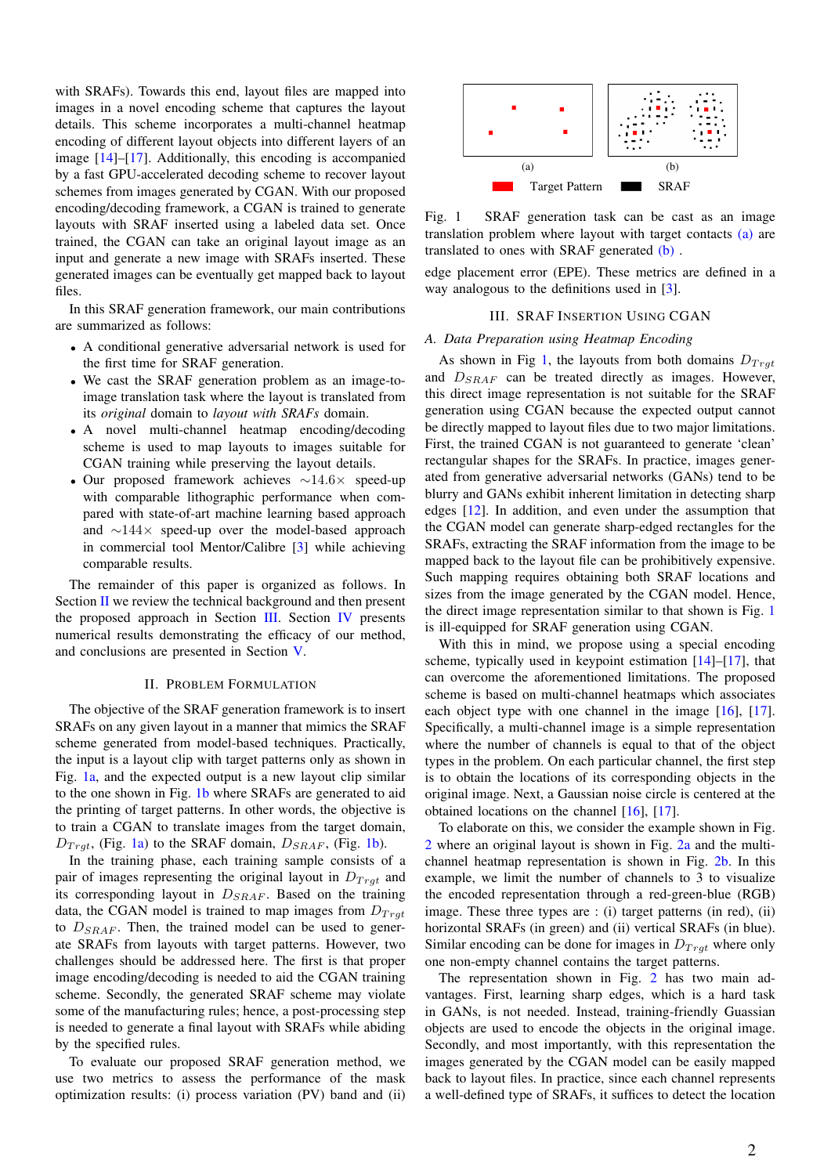with SRAFs). Towards this end, layout files are mapped into images in a novel encoding scheme that captures the layout details. This scheme incorporates a multi-channel heatmap encoding of different layout objects into different layers of an image [\[14\]](#page-5-11)–[\[17\]](#page-5-12). Additionally, this encoding is accompanied by a fast GPU-accelerated decoding scheme to recover layout schemes from images generated by CGAN. With our proposed encoding/decoding framework, a CGAN is trained to generate layouts with SRAF inserted using a labeled data set. Once trained, the CGAN can take an original layout image as an input and generate a new image with SRAFs inserted. These generated images can be eventually get mapped back to layout files.

In this SRAF generation framework, our main contributions are summarized as follows:

- A conditional generative adversarial network is used for the first time for SRAF generation.
- We cast the SRAF generation problem as an image-toimage translation task where the layout is translated from its *original* domain to *layout with SRAFs* domain.
- A novel multi-channel heatmap encoding/decoding scheme is used to map layouts to images suitable for CGAN training while preserving the layout details.
- Our proposed framework achieves ∼14.6× speed-up with comparable lithographic performance when compared with state-of-art machine learning based approach and ∼144× speed-up over the model-based approach in commercial tool Mentor/Calibre [\[3\]](#page-5-2) while achieving comparable results.

The remainder of this paper is organized as follows. In Section [II](#page-1-0) we review the technical background and then present the proposed approach in Section [III.](#page-1-1) Section [IV](#page-3-0) presents numerical results demonstrating the efficacy of our method, and conclusions are presented in Section [V.](#page-5-13)

#### II. PROBLEM FORMULATION

<span id="page-1-0"></span>The objective of the SRAF generation framework is to insert SRAFs on any given layout in a manner that mimics the SRAF scheme generated from model-based techniques. Practically, the input is a layout clip with target patterns only as shown in Fig. [1a,](#page-1-2) and the expected output is a new layout clip similar to the one shown in Fig. [1b](#page-1-3) where SRAFs are generated to aid the printing of target patterns. In other words, the objective is to train a CGAN to translate images from the target domain,  $D_{Trgt}$ , (Fig. [1a\)](#page-1-2) to the SRAF domain,  $D_{SRAF}$ , (Fig. [1b\)](#page-1-3).

In the training phase, each training sample consists of a pair of images representing the original layout in  $D_{Trd}$  and its corresponding layout in  $D_{SRAF}$ . Based on the training data, the CGAN model is trained to map images from  $D_{Trat}$ to  $D_{SRAF}$ . Then, the trained model can be used to generate SRAFs from layouts with target patterns. However, two challenges should be addressed here. The first is that proper image encoding/decoding is needed to aid the CGAN training scheme. Secondly, the generated SRAF scheme may violate some of the manufacturing rules; hence, a post-processing step is needed to generate a final layout with SRAFs while abiding by the specified rules.

To evaluate our proposed SRAF generation method, we use two metrics to assess the performance of the mask optimization results: (i) process variation (PV) band and (ii)

<span id="page-1-4"></span><span id="page-1-3"></span><span id="page-1-2"></span>

Fig. 1 SRAF generation task can be cast as an image translation problem where layout with target contacts [\(a\)](#page-1-2) are translated to ones with SRAF generated [\(b\)](#page-1-3) .

edge placement error (EPE). These metrics are defined in a way analogous to the definitions used in [\[3\]](#page-5-2).

# III. SRAF INSERTION USING CGAN

#### <span id="page-1-5"></span><span id="page-1-1"></span>*A. Data Preparation using Heatmap Encoding*

As shown in Fig [1,](#page-1-4) the layouts from both domains  $D_{Trdt}$ and  $D_{SRAF}$  can be treated directly as images. However, this direct image representation is not suitable for the SRAF generation using CGAN because the expected output cannot be directly mapped to layout files due to two major limitations. First, the trained CGAN is not guaranteed to generate 'clean' rectangular shapes for the SRAFs. In practice, images generated from generative adversarial networks (GANs) tend to be blurry and GANs exhibit inherent limitation in detecting sharp edges [\[12\]](#page-5-8). In addition, and even under the assumption that the CGAN model can generate sharp-edged rectangles for the SRAFs, extracting the SRAF information from the image to be mapped back to the layout file can be prohibitively expensive. Such mapping requires obtaining both SRAF locations and sizes from the image generated by the CGAN model. Hence, the direct image representation similar to that shown is Fig. [1](#page-1-4) is ill-equipped for SRAF generation using CGAN.

With this in mind, we propose using a special encoding scheme, typically used in keypoint estimation  $[14]$ – $[17]$ , that can overcome the aforementioned limitations. The proposed scheme is based on multi-channel heatmaps which associates each object type with one channel in the image [\[16\]](#page-5-14), [\[17\]](#page-5-12). Specifically, a multi-channel image is a simple representation where the number of channels is equal to that of the object types in the problem. On each particular channel, the first step is to obtain the locations of its corresponding objects in the original image. Next, a Gaussian noise circle is centered at the obtained locations on the channel [\[16\]](#page-5-14), [\[17\]](#page-5-12).

To elaborate on this, we consider the example shown in Fig. [2](#page-2-0) where an original layout is shown in Fig. [2a](#page-2-1) and the multichannel heatmap representation is shown in Fig. [2b.](#page-2-2) In this example, we limit the number of channels to 3 to visualize the encoded representation through a red-green-blue (RGB) image. These three types are : (i) target patterns (in red), (ii) horizontal SRAFs (in green) and (ii) vertical SRAFs (in blue). Similar encoding can be done for images in  $D_{Trd}$  where only one non-empty channel contains the target patterns.

The representation shown in Fig. [2](#page-2-0) has two main advantages. First, learning sharp edges, which is a hard task in GANs, is not needed. Instead, training-friendly Guassian objects are used to encode the objects in the original image. Secondly, and most importantly, with this representation the images generated by the CGAN model can be easily mapped back to layout files. In practice, since each channel represents a well-defined type of SRAFs, it suffices to detect the location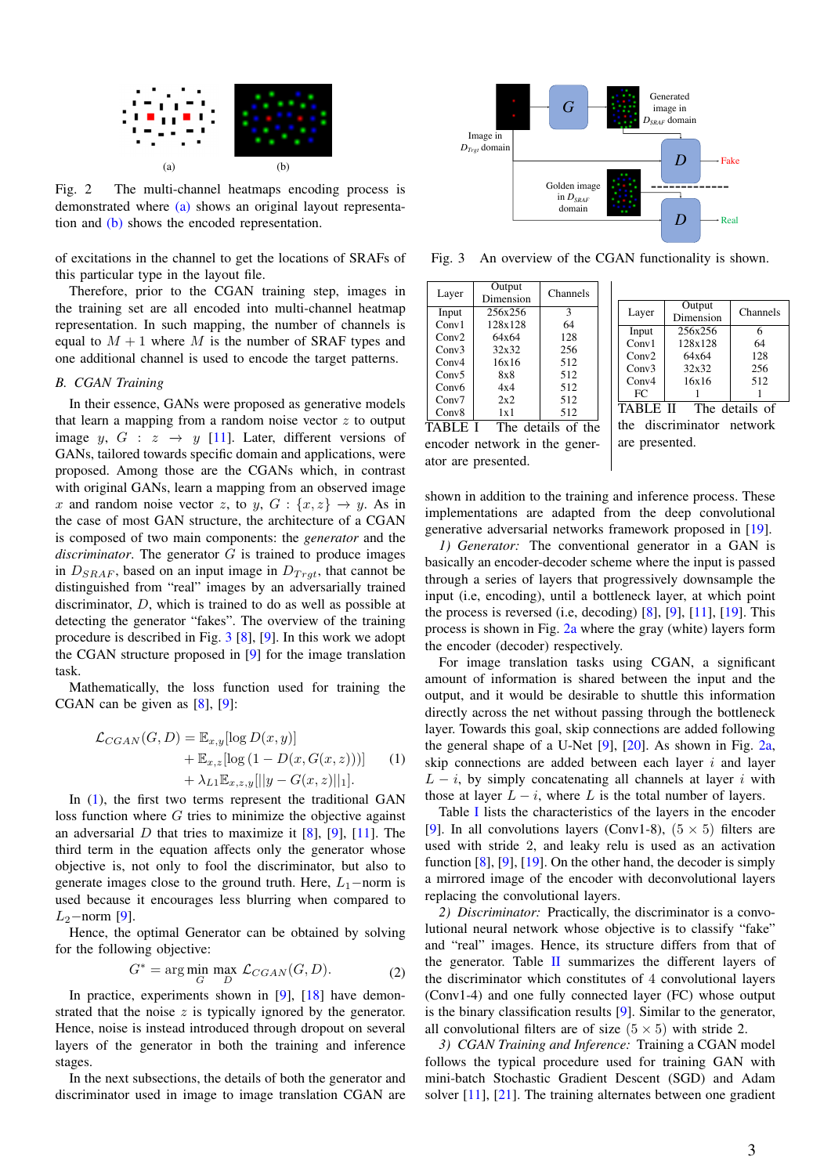<span id="page-2-2"></span><span id="page-2-1"></span><span id="page-2-0"></span>

Fig. 2 The multi-channel heatmaps encoding process is demonstrated where [\(a\)](#page-2-1) shows an original layout representation and [\(b\)](#page-2-2) shows the encoded representation.

of excitations in the channel to get the locations of SRAFs of this particular type in the layout file.

Therefore, prior to the CGAN training step, images in the training set are all encoded into multi-channel heatmap representation. In such mapping, the number of channels is equal to  $M + 1$  where M is the number of SRAF types and one additional channel is used to encode the target patterns.

#### *B. CGAN Training*

In their essence, GANs were proposed as generative models that learn a mapping from a random noise vector  $z$  to output image y,  $G : z \rightarrow y$  [\[11\]](#page-5-15). Later, different versions of GANs, tailored towards specific domain and applications, were proposed. Among those are the CGANs which, in contrast with original GANs, learn a mapping from an observed image x and random noise vector z, to y,  $G: \{x, z\} \rightarrow y$ . As in the case of most GAN structure, the architecture of a CGAN is composed of two main components: the *generator* and the *discriminator*. The generator G is trained to produce images in  $D_{SRAF}$ , based on an input image in  $D_{Trgt}$ , that cannot be distinguished from "real" images by an adversarially trained discriminator, D, which is trained to do as well as possible at detecting the generator "fakes". The overview of the training procedure is described in Fig. [3](#page-2-3) [\[8\]](#page-5-7), [\[9\]](#page-5-9). In this work we adopt the CGAN structure proposed in [\[9\]](#page-5-9) for the image translation task.

Mathematically, the loss function used for training the CGAN can be given as [\[8\]](#page-5-7), [\[9\]](#page-5-9):

<span id="page-2-4"></span>
$$
\mathcal{L}_{CGAN}(G, D) = \mathbb{E}_{x,y}[\log D(x,y)]
$$
  
+ 
$$
\mathbb{E}_{x,z}[\log (1 - D(x, G(x,z)))]
$$
 (1)  
+ 
$$
\lambda_{L1} \mathbb{E}_{x,z,y}[||y - G(x,z)||_1].
$$

In [\(1\)](#page-2-4), the first two terms represent the traditional GAN loss function where  $G$  tries to minimize the objective against an adversarial D that tries to maximize it  $[8]$ ,  $[9]$ ,  $[11]$ . The third term in the equation affects only the generator whose objective is, not only to fool the discriminator, but also to generate images close to the ground truth. Here,  $L_1$ −norm is used because it encourages less blurring when compared to  $L_2$ −norm [\[9\]](#page-5-9).

Hence, the optimal Generator can be obtained by solving for the following objective:

$$
G^* = \arg\min_G \max_D \mathcal{L}_{CGAN}(G, D). \tag{2}
$$

In practice, experiments shown in [\[9\]](#page-5-9), [\[18\]](#page-5-16) have demonstrated that the noise  $z$  is typically ignored by the generator. Hence, noise is instead introduced through dropout on several layers of the generator in both the training and inference stages.

In the next subsections, the details of both the generator and discriminator used in image to image translation CGAN are

<span id="page-2-3"></span>

Fig. 3 An overview of the CGAN functionality is shown.

<span id="page-2-5"></span>

| Layer             | Output<br>Dimension | Channels |
|-------------------|---------------------|----------|
| Input             | 256x256             | 3        |
| Conv1             | 128x128             | 64       |
| Conv2             | 64x64               | 128      |
| Conv3             | 32x32               | 256      |
| Conv4             | 16x16               | 512      |
| Conv5             | 8x8                 | 512      |
| Conv <sub>6</sub> | 4x4                 | 512      |
| Conv7             | 2x2                 | 512      |
| Conv8             | 1x1                 | 512      |

| Layer | Output    | Channels |
|-------|-----------|----------|
|       | Dimension |          |
| Input | 256x256   | 6        |
| Conv1 | 128x128   | 64       |
| Conv2 | 64x64     | 128      |
| Conv3 | 32x32     | 256      |
| Conv4 | 16x16     | 512      |
| FC.   |           |          |
|       |           | $\sim$   |

TABLE I The details of the encoder network in the generator are presented.

TABLE II The details of the discriminator network are presented.

shown in addition to the training and inference process. These implementations are adapted from the deep convolutional generative adversarial networks framework proposed in [\[19\]](#page-5-17).

*1) Generator:* The conventional generator in a GAN is basically an encoder-decoder scheme where the input is passed through a series of layers that progressively downsample the input (i.e, encoding), until a bottleneck layer, at which point the process is reversed (i.e, decoding) [\[8\]](#page-5-7), [\[9\]](#page-5-9), [\[11\]](#page-5-15), [\[19\]](#page-5-17). This process is shown in Fig. [2a](#page-2-1) where the gray (white) layers form the encoder (decoder) respectively.

For image translation tasks using CGAN, a significant amount of information is shared between the input and the output, and it would be desirable to shuttle this information directly across the net without passing through the bottleneck layer. Towards this goal, skip connections are added following the general shape of a U-Net [\[9\]](#page-5-9), [\[20\]](#page-5-18). As shown in Fig. [2a,](#page-2-1) skip connections are added between each layer  $i$  and layer  $L - i$ , by simply concatenating all channels at layer i with those at layer  $L - i$ , where L is the total number of layers.

Table [I](#page-2-5) lists the characteristics of the layers in the encoder [\[9\]](#page-5-9). In all convolutions layers (Conv1-8),  $(5 \times 5)$  filters are used with stride 2, and leaky relu is used as an activation function [\[8\]](#page-5-7), [\[9\]](#page-5-9), [\[19\]](#page-5-17). On the other hand, the decoder is simply a mirrored image of the encoder with deconvolutional layers replacing the convolutional layers.

*2) Discriminator:* Practically, the discriminator is a convolutional neural network whose objective is to classify "fake" and "real" images. Hence, its structure differs from that of the generator. Table [II](#page-2-5) summarizes the different layers of the discriminator which constitutes of 4 convolutional layers (Conv1-4) and one fully connected layer (FC) whose output is the binary classification results [\[9\]](#page-5-9). Similar to the generator, all convolutional filters are of size  $(5 \times 5)$  with stride 2.

*3) CGAN Training and Inference:* Training a CGAN model follows the typical procedure used for training GAN with mini-batch Stochastic Gradient Descent (SGD) and Adam solver [\[11\]](#page-5-15), [\[21\]](#page-5-19). The training alternates between one gradient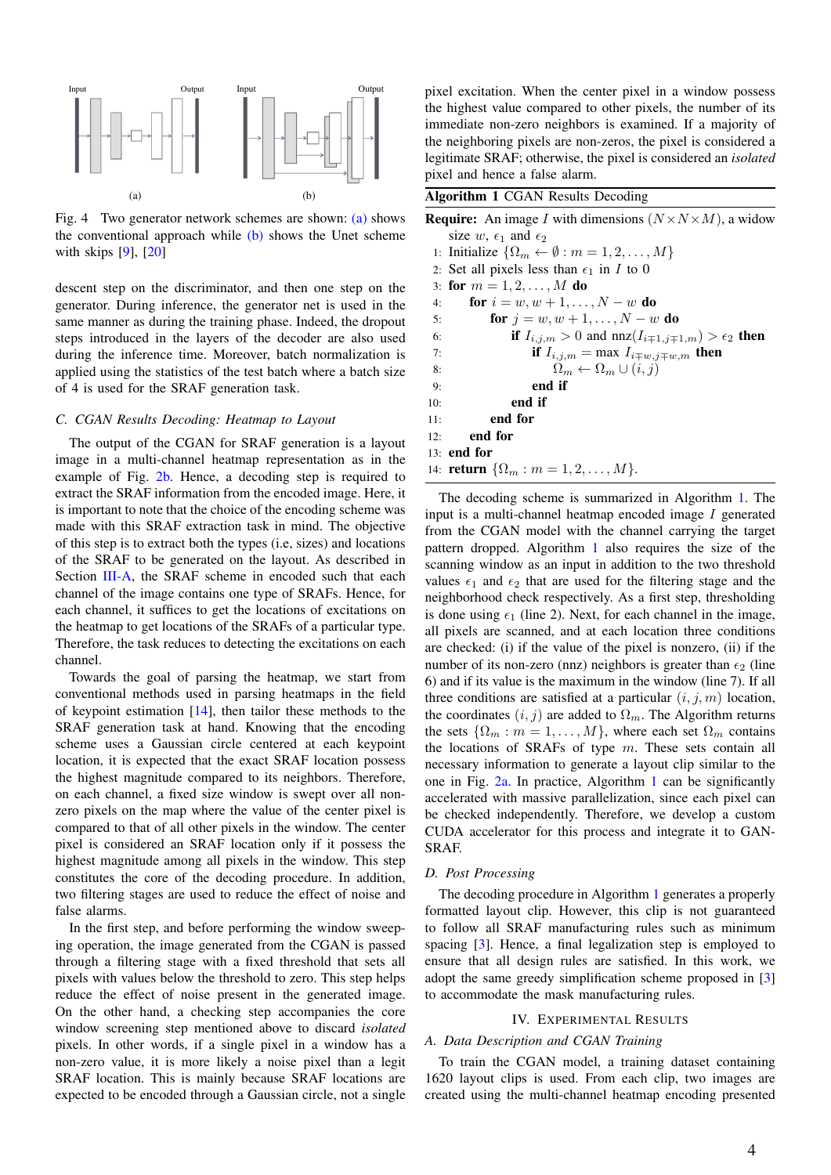<span id="page-3-1"></span>

<span id="page-3-2"></span>Fig. 4 Two generator network schemes are shown: [\(a\)](#page-3-1) shows the conventional approach while  $(b)$  shows the Unet scheme with skips [\[9\]](#page-5-9), [\[20\]](#page-5-18)

descent step on the discriminator, and then one step on the generator. During inference, the generator net is used in the same manner as during the training phase. Indeed, the dropout steps introduced in the layers of the decoder are also used during the inference time. Moreover, batch normalization is applied using the statistics of the test batch where a batch size of 4 is used for the SRAF generation task.

# *C. CGAN Results Decoding: Heatmap to Layout*

The output of the CGAN for SRAF generation is a layout image in a multi-channel heatmap representation as in the example of Fig. [2b.](#page-2-2) Hence, a decoding step is required to extract the SRAF information from the encoded image. Here, it is important to note that the choice of the encoding scheme was made with this SRAF extraction task in mind. The objective of this step is to extract both the types (i.e, sizes) and locations of the SRAF to be generated on the layout. As described in Section [III-A,](#page-1-5) the SRAF scheme in encoded such that each channel of the image contains one type of SRAFs. Hence, for each channel, it suffices to get the locations of excitations on the heatmap to get locations of the SRAFs of a particular type. Therefore, the task reduces to detecting the excitations on each channel.

Towards the goal of parsing the heatmap, we start from conventional methods used in parsing heatmaps in the field of keypoint estimation [\[14\]](#page-5-11), then tailor these methods to the SRAF generation task at hand. Knowing that the encoding scheme uses a Gaussian circle centered at each keypoint location, it is expected that the exact SRAF location possess the highest magnitude compared to its neighbors. Therefore, on each channel, a fixed size window is swept over all nonzero pixels on the map where the value of the center pixel is compared to that of all other pixels in the window. The center pixel is considered an SRAF location only if it possess the highest magnitude among all pixels in the window. This step constitutes the core of the decoding procedure. In addition, two filtering stages are used to reduce the effect of noise and false alarms.

In the first step, and before performing the window sweeping operation, the image generated from the CGAN is passed through a filtering stage with a fixed threshold that sets all pixels with values below the threshold to zero. This step helps reduce the effect of noise present in the generated image. On the other hand, a checking step accompanies the core window screening step mentioned above to discard *isolated* pixels. In other words, if a single pixel in a window has a non-zero value, it is more likely a noise pixel than a legit SRAF location. This is mainly because SRAF locations are expected to be encoded through a Gaussian circle, not a single pixel excitation. When the center pixel in a window possess the highest value compared to other pixels, the number of its immediate non-zero neighbors is examined. If a majority of the neighboring pixels are non-zeros, the pixel is considered a legitimate SRAF; otherwise, the pixel is considered an *isolated* pixel and hence a false alarm.

<span id="page-3-3"></span>Algorithm 1 CGAN Results Decoding

| <b>Require:</b> An image I with dimensions $(N \times N \times M)$ , a widow |
|------------------------------------------------------------------------------|
| size w, $\epsilon_1$ and $\epsilon_2$                                        |
| 1: Initialize $\{\Omega_m \leftarrow \emptyset : m = 1, 2, \dots, M\}$       |
| 2: Set all pixels less than $\epsilon_1$ in I to 0                           |
| 3: for $m = 1, 2, , M$ do                                                    |
| <b>for</b> $i = w, w + 1, , N - w$ <b>do</b><br>4:                           |
| <b>for</b> $j = w, w + 1, , N - w$ <b>do</b><br>5:                           |
| if $I_{i,j,m} > 0$ and $nnz(I_{i\mp 1,j\mp 1,m}) > \epsilon_2$ then<br>6:    |
| if $I_{i,j,m} = \max I_{i \mp w, j \mp w, m}$ then<br>7:                     |
| $\Omega_m \leftarrow \Omega_m \cup (i, j)$<br>8:                             |
| end if<br>9:                                                                 |
| end if<br>10:                                                                |
| end for<br>11:                                                               |
| end for<br>12:                                                               |
| $13:$ end for                                                                |
| 14: <b>return</b> $\{\Omega_m : m = 1, 2, , M\}.$                            |
|                                                                              |

The decoding scheme is summarized in Algorithm [1.](#page-3-3) The input is a multi-channel heatmap encoded image I generated from the CGAN model with the channel carrying the target pattern dropped. Algorithm [1](#page-3-3) also requires the size of the scanning window as an input in addition to the two threshold values  $\epsilon_1$  and  $\epsilon_2$  that are used for the filtering stage and the neighborhood check respectively. As a first step, thresholding is done using  $\epsilon_1$  (line 2). Next, for each channel in the image, all pixels are scanned, and at each location three conditions are checked: (i) if the value of the pixel is nonzero, (ii) if the number of its non-zero (nnz) neighbors is greater than  $\epsilon_2$  (line 6) and if its value is the maximum in the window (line 7). If all three conditions are satisfied at a particular  $(i, j, m)$  location, the coordinates  $(i, j)$  are added to  $\Omega_m$ . The Algorithm returns the sets  $\{\Omega_m : m = 1, \ldots, M\}$ , where each set  $\Omega_m$  contains the locations of SRAFs of type  $m$ . These sets contain all necessary information to generate a layout clip similar to the one in Fig. [2a.](#page-2-1) In practice, Algorithm [1](#page-3-3) can be significantly accelerated with massive parallelization, since each pixel can be checked independently. Therefore, we develop a custom CUDA accelerator for this process and integrate it to GAN-SRAF.

#### <span id="page-3-4"></span>*D. Post Processing*

The decoding procedure in Algorithm [1](#page-3-3) generates a properly formatted layout clip. However, this clip is not guaranteed to follow all SRAF manufacturing rules such as minimum spacing [\[3\]](#page-5-2). Hence, a final legalization step is employed to ensure that all design rules are satisfied. In this work, we adopt the same greedy simplification scheme proposed in [\[3\]](#page-5-2) to accommodate the mask manufacturing rules.

#### IV. EXPERIMENTAL RESULTS

#### <span id="page-3-0"></span>*A. Data Description and CGAN Training*

To train the CGAN model, a training dataset containing 1620 layout clips is used. From each clip, two images are created using the multi-channel heatmap encoding presented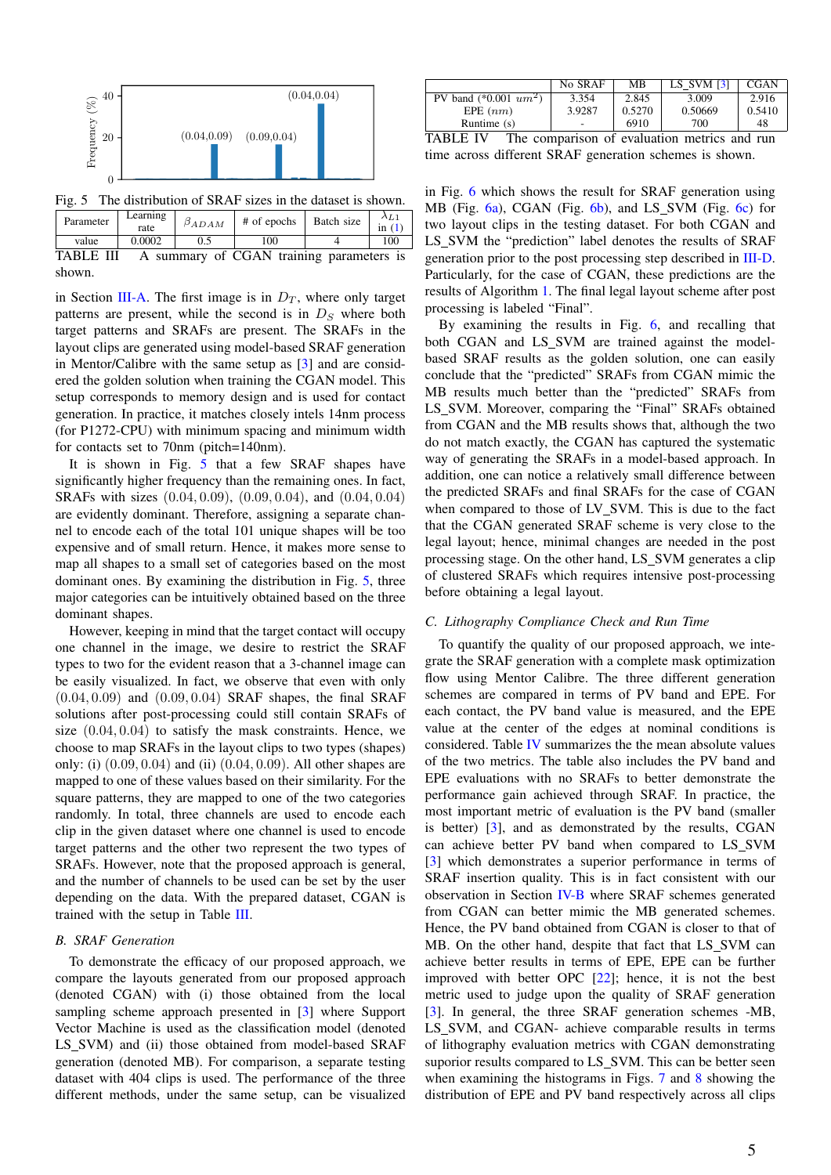<span id="page-4-0"></span>

Fig. 5 The distribution of SRAF sizes in the dataset is shown.

<span id="page-4-1"></span>

| Parameter        | Learning<br>rate | $\beta_{ADAM}$ | # of epochs                              | Batch size | $\lambda_{L1}$<br>in $(1)$ |
|------------------|------------------|----------------|------------------------------------------|------------|----------------------------|
| value            | 0.0002           | 0.5            | 100                                      |            | 100                        |
| <b>TABLE III</b> |                  |                | A summary of CGAN training parameters is |            |                            |

shown.

in Section [III-A.](#page-1-5) The first image is in  $D_T$ , where only target patterns are present, while the second is in  $D<sub>S</sub>$  where both target patterns and SRAFs are present. The SRAFs in the layout clips are generated using model-based SRAF generation in Mentor/Calibre with the same setup as [\[3\]](#page-5-2) and are considered the golden solution when training the CGAN model. This setup corresponds to memory design and is used for contact generation. In practice, it matches closely intels 14nm process (for P1272-CPU) with minimum spacing and minimum width for contacts set to 70nm (pitch=140nm).

It is shown in Fig. [5](#page-4-0) that a few SRAF shapes have significantly higher frequency than the remaining ones. In fact, SRAFs with sizes (0.04, 0.09), (0.09, 0.04), and (0.04, 0.04) are evidently dominant. Therefore, assigning a separate channel to encode each of the total 101 unique shapes will be too expensive and of small return. Hence, it makes more sense to map all shapes to a small set of categories based on the most dominant ones. By examining the distribution in Fig. [5,](#page-4-0) three major categories can be intuitively obtained based on the three dominant shapes.

However, keeping in mind that the target contact will occupy one channel in the image, we desire to restrict the SRAF types to two for the evident reason that a 3-channel image can be easily visualized. In fact, we observe that even with only  $(0.04, 0.09)$  and  $(0.09, 0.04)$  SRAF shapes, the final SRAF solutions after post-processing could still contain SRAFs of size  $(0.04, 0.04)$  to satisfy the mask constraints. Hence, we choose to map SRAFs in the layout clips to two types (shapes) only: (i)  $(0.09, 0.04)$  and (ii)  $(0.04, 0.09)$ . All other shapes are mapped to one of these values based on their similarity. For the square patterns, they are mapped to one of the two categories randomly. In total, three channels are used to encode each clip in the given dataset where one channel is used to encode target patterns and the other two represent the two types of SRAFs. However, note that the proposed approach is general, and the number of channels to be used can be set by the user depending on the data. With the prepared dataset, CGAN is trained with the setup in Table [III.](#page-4-1)

## <span id="page-4-3"></span>*B. SRAF Generation*

To demonstrate the efficacy of our proposed approach, we compare the layouts generated from our proposed approach (denoted CGAN) with (i) those obtained from the local sampling scheme approach presented in [\[3\]](#page-5-2) where Support Vector Machine is used as the classification model (denoted LS SVM) and (ii) those obtained from model-based SRAF generation (denoted MB). For comparison, a separate testing dataset with 404 clips is used. The performance of the three different methods, under the same setup, can be visualized

<span id="page-4-2"></span>

|                                                         | No SRAF | MВ     | LS SVM $[3]$ | <b>CGAN</b> |  |  |
|---------------------------------------------------------|---------|--------|--------------|-------------|--|--|
| PV band $(*0.001 \; um^2)$                              | 3.354   | 2.845  | 3.009        | 2.916       |  |  |
| EPE $(nm)$                                              | 3.9287  | 0.5270 | 0.50669      | 0.5410      |  |  |
| Runtime (s)                                             | ۰       | 6910   | 700          | 48          |  |  |
| TA DI E<br>The componison of qualitation motors and min |         |        |              |             |  |  |

TABLE IV The comparison of evaluation metrics and run time across different SRAF generation schemes is shown.

in Fig. [6](#page-5-20) which shows the result for SRAF generation using MB (Fig. [6a\)](#page-5-21), CGAN (Fig. [6b\)](#page-5-22), and LS\_SVM (Fig. [6c\)](#page-5-23) for two layout clips in the testing dataset. For both CGAN and LS SVM the "prediction" label denotes the results of SRAF generation prior to the post processing step described in [III-D.](#page-3-4) Particularly, for the case of CGAN, these predictions are the results of Algorithm [1.](#page-3-3) The final legal layout scheme after post processing is labeled "Final".

By examining the results in Fig. [6,](#page-5-20) and recalling that both CGAN and LS\_SVM are trained against the modelbased SRAF results as the golden solution, one can easily conclude that the "predicted" SRAFs from CGAN mimic the MB results much better than the "predicted" SRAFs from LS SVM. Moreover, comparing the "Final" SRAFs obtained from CGAN and the MB results shows that, although the two do not match exactly, the CGAN has captured the systematic way of generating the SRAFs in a model-based approach. In addition, one can notice a relatively small difference between the predicted SRAFs and final SRAFs for the case of CGAN when compared to those of LV\_SVM. This is due to the fact that the CGAN generated SRAF scheme is very close to the legal layout; hence, minimal changes are needed in the post processing stage. On the other hand, LS SVM generates a clip of clustered SRAFs which requires intensive post-processing before obtaining a legal layout.

# *C. Lithography Compliance Check and Run Time*

To quantify the quality of our proposed approach, we integrate the SRAF generation with a complete mask optimization flow using Mentor Calibre. The three different generation schemes are compared in terms of PV band and EPE. For each contact, the PV band value is measured, and the EPE value at the center of the edges at nominal conditions is considered. Table [IV](#page-4-2) summarizes the the mean absolute values of the two metrics. The table also includes the PV band and EPE evaluations with no SRAFs to better demonstrate the performance gain achieved through SRAF. In practice, the most important metric of evaluation is the PV band (smaller is better) [\[3\]](#page-5-2), and as demonstrated by the results, CGAN can achieve better PV band when compared to LS SVM [\[3\]](#page-5-2) which demonstrates a superior performance in terms of SRAF insertion quality. This is in fact consistent with our observation in Section [IV-B](#page-4-3) where SRAF schemes generated from CGAN can better mimic the MB generated schemes. Hence, the PV band obtained from CGAN is closer to that of MB. On the other hand, despite that fact that LS\_SVM can achieve better results in terms of EPE, EPE can be further improved with better OPC [\[22\]](#page-5-24); hence, it is not the best metric used to judge upon the quality of SRAF generation [\[3\]](#page-5-2). In general, the three SRAF generation schemes -MB, LS SVM, and CGAN- achieve comparable results in terms of lithography evaluation metrics with CGAN demonstrating suporior results compared to LS SVM. This can be better seen when examining the histograms in Figs. [7](#page-5-25) and [8](#page-5-26) showing the distribution of EPE and PV band respectively across all clips